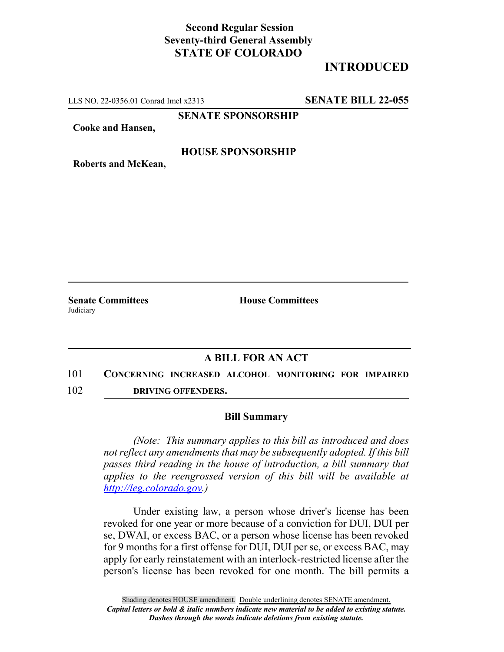# **Second Regular Session Seventy-third General Assembly STATE OF COLORADO**

# **INTRODUCED**

LLS NO. 22-0356.01 Conrad Imel x2313 **SENATE BILL 22-055**

**SENATE SPONSORSHIP**

**Cooke and Hansen,**

#### **HOUSE SPONSORSHIP**

**Roberts and McKean,**

**Judiciary** 

**Senate Committees House Committees** 

### **A BILL FOR AN ACT**

- 101 **CONCERNING INCREASED ALCOHOL MONITORING FOR IMPAIRED**
- 102 **DRIVING OFFENDERS.**

#### **Bill Summary**

*(Note: This summary applies to this bill as introduced and does not reflect any amendments that may be subsequently adopted. If this bill passes third reading in the house of introduction, a bill summary that applies to the reengrossed version of this bill will be available at http://leg.colorado.gov.)*

Under existing law, a person whose driver's license has been revoked for one year or more because of a conviction for DUI, DUI per se, DWAI, or excess BAC, or a person whose license has been revoked for 9 months for a first offense for DUI, DUI per se, or excess BAC, may apply for early reinstatement with an interlock-restricted license after the person's license has been revoked for one month. The bill permits a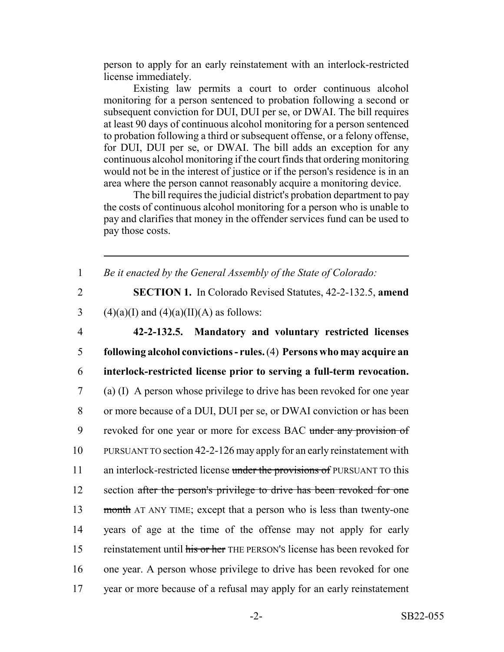person to apply for an early reinstatement with an interlock-restricted license immediately.

Existing law permits a court to order continuous alcohol monitoring for a person sentenced to probation following a second or subsequent conviction for DUI, DUI per se, or DWAI. The bill requires at least 90 days of continuous alcohol monitoring for a person sentenced to probation following a third or subsequent offense, or a felony offense, for DUI, DUI per se, or DWAI. The bill adds an exception for any continuous alcohol monitoring if the court finds that ordering monitoring would not be in the interest of justice or if the person's residence is in an area where the person cannot reasonably acquire a monitoring device.

The bill requires the judicial district's probation department to pay the costs of continuous alcohol monitoring for a person who is unable to pay and clarifies that money in the offender services fund can be used to pay those costs.

1 *Be it enacted by the General Assembly of the State of Colorado:*

2 **SECTION 1.** In Colorado Revised Statutes, 42-2-132.5, **amend** 3 (4)(a)(I) and (4)(a)(II)(A) as follows:

 **42-2-132.5. Mandatory and voluntary restricted licenses following alcohol convictions - rules.** (4) **Persons who may acquire an interlock-restricted license prior to serving a full-term revocation.** (a) (I) A person whose privilege to drive has been revoked for one year or more because of a DUI, DUI per se, or DWAI conviction or has been 9 revoked for one year or more for excess BAC under any provision of PURSUANT TO section 42-2-126 may apply for an early reinstatement with 11 an interlock-restricted license under the provisions of PURSUANT TO this 12 section after the person's privilege to drive has been revoked for one 13 month AT ANY TIME; except that a person who is less than twenty-one years of age at the time of the offense may not apply for early 15 reinstatement until his or her THE PERSON's license has been revoked for one year. A person whose privilege to drive has been revoked for one year or more because of a refusal may apply for an early reinstatement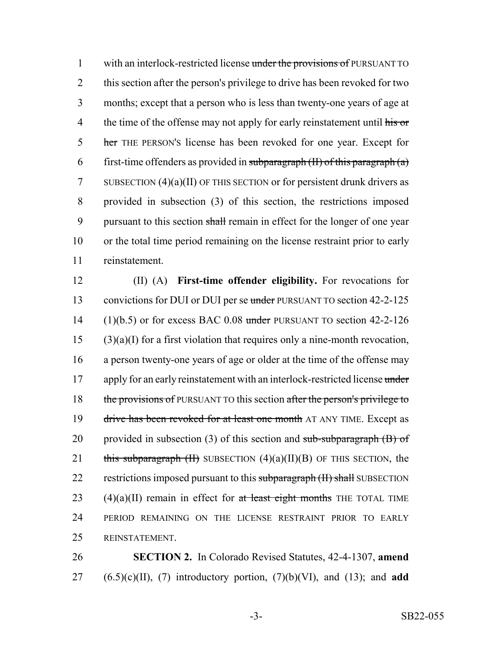1 with an interlock-restricted license under the provisions of PURSUANT TO 2 this section after the person's privilege to drive has been revoked for two 3 months; except that a person who is less than twenty-one years of age at 4 the time of the offense may not apply for early reinstatement until his or 5 her THE PERSON's license has been revoked for one year. Except for 6 first-time offenders as provided in subparagraph  $(H)$  of this paragraph  $(a)$ 7 SUBSECTION  $(4)(a)(II)$  OF THIS SECTION or for persistent drunk drivers as 8 provided in subsection (3) of this section, the restrictions imposed 9 pursuant to this section shall remain in effect for the longer of one year 10 or the total time period remaining on the license restraint prior to early 11 reinstatement.

12 (II) (A) **First-time offender eligibility.** For revocations for 13 convictions for DUI or DUI per se under PURSUANT TO section 42-2-125 14 (1)(b.5) or for excess BAC 0.08 under PURSUANT TO section  $42-2-126$  $15$  (3)(a)(I) for a first violation that requires only a nine-month revocation, 16 a person twenty-one years of age or older at the time of the offense may 17 apply for an early reinstatement with an interlock-restricted license under 18 the provisions of PURSUANT TO this section after the person's privilege to 19 drive has been revoked for at least one month AT ANY TIME. Except as 20 provided in subsection (3) of this section and sub-subparagraph  $(B)$  of 21 this subparagraph  $(H)$  SUBSECTION  $(4)(a)(II)(B)$  OF THIS SECTION, the 22 restrictions imposed pursuant to this subparagraph (II) shall SUBSECTION 23 (4)(a)(II) remain in effect for at least eight months THE TOTAL TIME 24 PERIOD REMAINING ON THE LICENSE RESTRAINT PRIOR TO EARLY 25 REINSTATEMENT.

26 **SECTION 2.** In Colorado Revised Statutes, 42-4-1307, **amend**  $27$   $(6.5)(c)(II)$ , (7) introductory portion, (7)(b)(VI), and (13); and **add**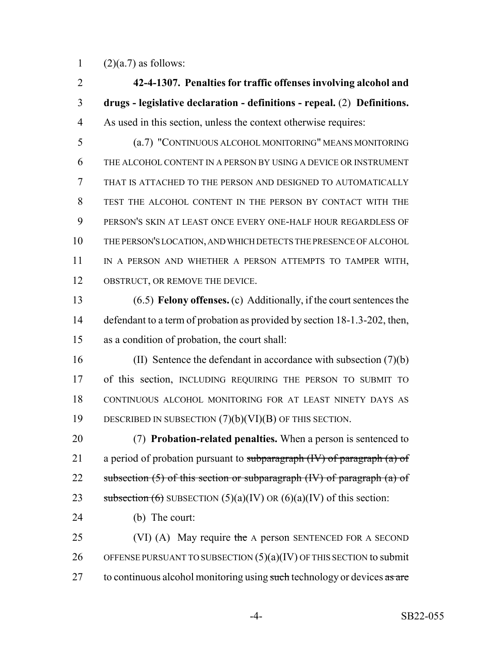1  $(2)(a.7)$  as follows:

 **42-4-1307. Penalties for traffic offenses involving alcohol and drugs - legislative declaration - definitions - repeal.** (2) **Definitions.** As used in this section, unless the context otherwise requires:

 (a.7) "CONTINUOUS ALCOHOL MONITORING" MEANS MONITORING THE ALCOHOL CONTENT IN A PERSON BY USING A DEVICE OR INSTRUMENT THAT IS ATTACHED TO THE PERSON AND DESIGNED TO AUTOMATICALLY TEST THE ALCOHOL CONTENT IN THE PERSON BY CONTACT WITH THE PERSON'S SKIN AT LEAST ONCE EVERY ONE-HALF HOUR REGARDLESS OF THE PERSON'S LOCATION, AND WHICH DETECTS THE PRESENCE OF ALCOHOL IN A PERSON AND WHETHER A PERSON ATTEMPTS TO TAMPER WITH, 12 OBSTRUCT, OR REMOVE THE DEVICE.

 (6.5) **Felony offenses.** (c) Additionally, if the court sentences the 14 defendant to a term of probation as provided by section 18-1.3-202, then, as a condition of probation, the court shall:

 (II) Sentence the defendant in accordance with subsection (7)(b) of this section, INCLUDING REQUIRING THE PERSON TO SUBMIT TO CONTINUOUS ALCOHOL MONITORING FOR AT LEAST NINETY DAYS AS DESCRIBED IN SUBSECTION (7)(b)(VI)(B) OF THIS SECTION.

 (7) **Probation-related penalties.** When a person is sentenced to 21 a period of probation pursuant to subparagraph  $(W)$  of paragraph  $(a)$  of 22 subsection  $(5)$  of this section or subparagraph  $(W)$  of paragraph  $(a)$  of 23 subsection  $(6)$  SUBSECTION  $(5)(a)(IV)$  OR  $(6)(a)(IV)$  of this section:

- (b) The court:
- 25 (VI) (A) May require the A person SENTENCED FOR A SECOND 26 OFFENSE PURSUANT TO SUBSECTION  $(5)(a)(IV)$  OF THIS SECTION to submit 27 to continuous alcohol monitoring using such technology or devices as are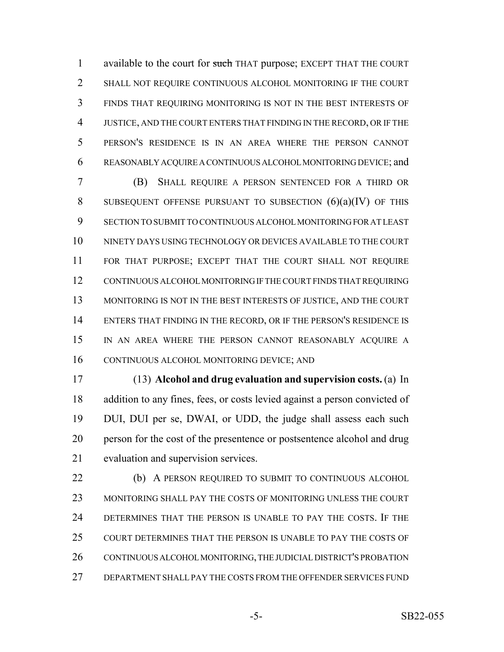1 available to the court for such THAT purpose; EXCEPT THAT THE COURT SHALL NOT REQUIRE CONTINUOUS ALCOHOL MONITORING IF THE COURT FINDS THAT REQUIRING MONITORING IS NOT IN THE BEST INTERESTS OF JUSTICE, AND THE COURT ENTERS THAT FINDING IN THE RECORD, OR IF THE PERSON'S RESIDENCE IS IN AN AREA WHERE THE PERSON CANNOT REASONABLY ACQUIRE A CONTINUOUS ALCOHOL MONITORING DEVICE; and

 (B) SHALL REQUIRE A PERSON SENTENCED FOR A THIRD OR 8 SUBSEQUENT OFFENSE PURSUANT TO SUBSECTION  $(6)(a)(IV)$  of this SECTION TO SUBMIT TO CONTINUOUS ALCOHOL MONITORING FOR AT LEAST NINETY DAYS USING TECHNOLOGY OR DEVICES AVAILABLE TO THE COURT FOR THAT PURPOSE; EXCEPT THAT THE COURT SHALL NOT REQUIRE CONTINUOUS ALCOHOL MONITORING IF THE COURT FINDS THAT REQUIRING 13 MONITORING IS NOT IN THE BEST INTERESTS OF JUSTICE, AND THE COURT 14 ENTERS THAT FINDING IN THE RECORD, OR IF THE PERSON'S RESIDENCE IS IN AN AREA WHERE THE PERSON CANNOT REASONABLY ACQUIRE A CONTINUOUS ALCOHOL MONITORING DEVICE; AND

 (13) **Alcohol and drug evaluation and supervision costs.** (a) In addition to any fines, fees, or costs levied against a person convicted of DUI, DUI per se, DWAI, or UDD, the judge shall assess each such person for the cost of the presentence or postsentence alcohol and drug evaluation and supervision services.

 (b) A PERSON REQUIRED TO SUBMIT TO CONTINUOUS ALCOHOL MONITORING SHALL PAY THE COSTS OF MONITORING UNLESS THE COURT DETERMINES THAT THE PERSON IS UNABLE TO PAY THE COSTS. IF THE COURT DETERMINES THAT THE PERSON IS UNABLE TO PAY THE COSTS OF 26 CONTINUOUS ALCOHOL MONITORING, THE JUDICIAL DISTRICT'S PROBATION DEPARTMENT SHALL PAY THE COSTS FROM THE OFFENDER SERVICES FUND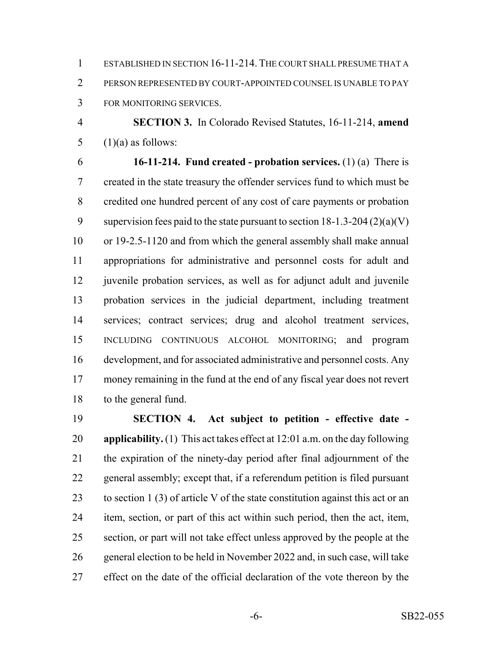ESTABLISHED IN SECTION 16-11-214. THE COURT SHALL PRESUME THAT A PERSON REPRESENTED BY COURT-APPOINTED COUNSEL IS UNABLE TO PAY FOR MONITORING SERVICES.

 **SECTION 3.** In Colorado Revised Statutes, 16-11-214, **amend** 5  $(1)(a)$  as follows:

 **16-11-214. Fund created - probation services.** (1) (a) There is created in the state treasury the offender services fund to which must be credited one hundred percent of any cost of care payments or probation 9 supervision fees paid to the state pursuant to section  $18-1.3-204(2)(a)(V)$  or 19-2.5-1120 and from which the general assembly shall make annual appropriations for administrative and personnel costs for adult and 12 juvenile probation services, as well as for adjunct adult and juvenile probation services in the judicial department, including treatment services; contract services; drug and alcohol treatment services, INCLUDING CONTINUOUS ALCOHOL MONITORING; and program development, and for associated administrative and personnel costs. Any money remaining in the fund at the end of any fiscal year does not revert to the general fund.

 **SECTION 4. Act subject to petition - effective date - applicability.** (1) This act takes effect at 12:01 a.m. on the day following the expiration of the ninety-day period after final adjournment of the general assembly; except that, if a referendum petition is filed pursuant 23 to section 1 (3) of article V of the state constitution against this act or an item, section, or part of this act within such period, then the act, item, section, or part will not take effect unless approved by the people at the general election to be held in November 2022 and, in such case, will take effect on the date of the official declaration of the vote thereon by the